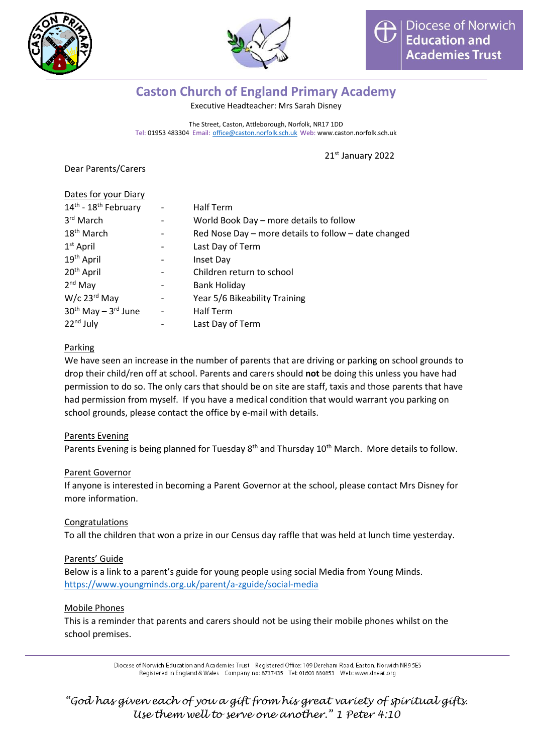



# **Caston Church of England Primary Academy**

Executive Headteacher: Mrs Sarah Disney

The Street, Caston, Attleborough, Norfolk, NR17 1DD Tel: 01953 483304 Email: [office@caston.norfolk.sch.uk](mailto:office@caston.norfolk.sch.uk) Web: www.caston.norfolk.sch.uk

21st January 2022

Dear Parents/Carers

| Dates for your Diary         |                          |                                                      |
|------------------------------|--------------------------|------------------------------------------------------|
| 14th - 18th February         | $\overline{\phantom{a}}$ | <b>Half Term</b>                                     |
| 3rd March                    |                          | World Book Day - more details to follow              |
| 18 <sup>th</sup> March       |                          | Red Nose Day – more details to follow – date changed |
| $1st$ April                  |                          | Last Day of Term                                     |
| 19 <sup>th</sup> April       |                          | Inset Day                                            |
| 20 <sup>th</sup> April       |                          | Children return to school                            |
| $2nd$ May                    |                          | <b>Bank Holiday</b>                                  |
| $W/c$ 23 $rd$ May            |                          | Year 5/6 Bikeability Training                        |
| $30^{th}$ May $-3^{rd}$ June | $\overline{\phantom{0}}$ | <b>Half Term</b>                                     |
| $22nd$ July                  |                          | Last Day of Term                                     |

## Parking

We have seen an increase in the number of parents that are driving or parking on school grounds to drop their child/ren off at school. Parents and carers should **not** be doing this unless you have had permission to do so. The only cars that should be on site are staff, taxis and those parents that have had permission from myself. If you have a medical condition that would warrant you parking on school grounds, please contact the office by e-mail with details.

#### Parents Evening

Parents Evening is being planned for Tuesday 8<sup>th</sup> and Thursday 10<sup>th</sup> March. More details to follow.

#### Parent Governor

If anyone is interested in becoming a Parent Governor at the school, please contact Mrs Disney for more information.

#### Congratulations

To all the children that won a prize in our Census day raffle that was held at lunch time yesterday.

#### Parents' Guide

Below is a link to a parent's guide for young people using social Media from Young Minds. <https://www.youngminds.org.uk/parent/a-zguide/social-media>

#### Mobile Phones

This is a reminder that parents and carers should not be using their mobile phones whilst on the school premises.

> Diocese of Norwich Education and Academies Trust Registered Office: 109 Dereham Road, Easton, Norwich NR9 5ES Registered in England & Wales Company no: 8737435 Tel: 01603 880853 Web: www.dneat.org

*"God has given each of you a gift from his great variety of spiritual gifts. Use them well to serve one another." 1 Peter 4:10*